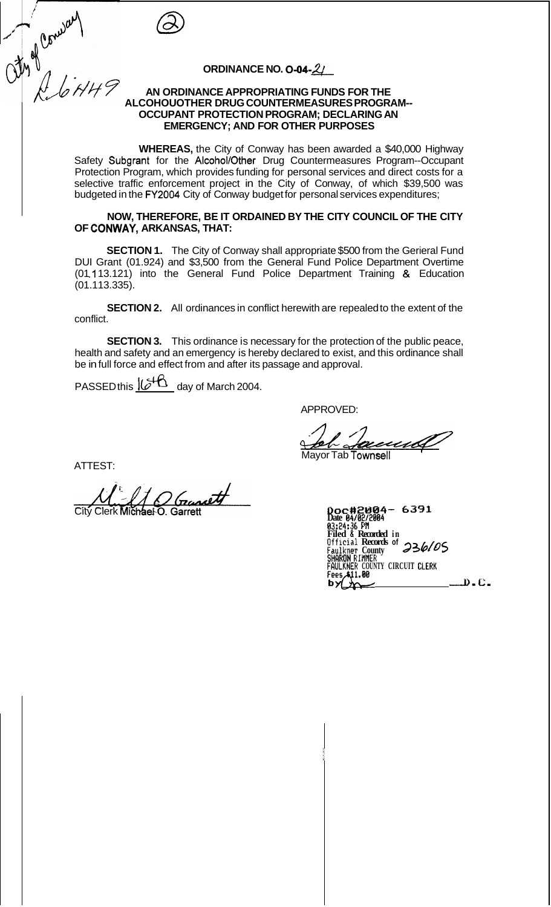the Convert

## **ORDINANCE NO. 0-04-2/**

#### **AN ORDINANCE APPROPRIATING FUNDS FOR THE OCCUPANT PROTECTION PROGRAM; DECLARING AN EMERGENCY; AND FOR OTHER PURPOSES ALCOHOUOTHER DRUG COUNTERMEASURES PROGRAM--**

**WHEREAS,** the City of Conway has been awarded a \$40,000 Highway Safety Subgrant for the Alcohol/Other Drug Countermeasures Program--Occupant Protection Program, which provides funding for personal services and direct costs for a selective traffic enforcement project in the City of Conway, of which \$39,500 was budgeted in the FY2004 City of Conway budget for personal services expenditures;

### **NOW, THEREFORE, BE IT ORDAINED BY THE CITY COUNCIL OF THE CITY OF CONWAY, ARKANSAS, THAT:**

**SECTION 1.** The City of Conway shall appropriate \$500 from the Gerieral Fund DUI Grant (01.924) and \$3,500 from the General Fund Police Department Overtime (01.113.121) into the General Fund Police Department Training & Education (01.1 13.335).

**SECTION 2.** All ordinances in conflict herewith are repealed to the extent of the conflict.

**SECTION 3.** This ordinance is necessary for the protection of the public peace, health and safety and an emergency is hereby declared to exist, and this ordinance shall be in full force and effect from and after its passage and approval.

PASSED this  $\underline{\mathcal{U}^{\mathcal{A}}\mathbf{G}}$  day of March 2004.

APPROVED:

Mayor Tab Townsell **<sup>I</sup>**

ATTEST:

APPROVED:<br>
ATTEST:<br>
Mayor Tab Townsell<br>
City Clerk Michael O. Garrett<br>
Doc #2408/2884<br>
Date 84/82/2884<br>
Date 84/82/2884<br>
Date 84/82/2884<br>
Bate 84/82/2884<br>
Bate 84/82/2884<br>
Bate 84/82/2884<br>
Bate 84/82/2884<br>
Bate 84/82/2884

| Doc#2004- 6391                                                 |
|----------------------------------------------------------------|
| Date 04/02/2004                                                |
| 03:24:36 PM                                                    |
| Filed & Recorded in                                            |
|                                                                |
| Official Records of 236/05<br>Faulkner County<br>SHARON RIMMER |
|                                                                |
| FAULKNER COUNTY CIRCUIT CLERK                                  |
| Fees.A11.00                                                    |
| - D.C.                                                         |
|                                                                |
|                                                                |